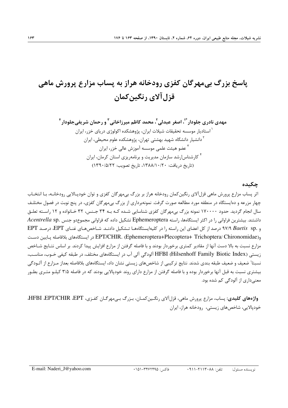# پاسخ بزرگ بی مهرگان کفزی رودخانه هراز به پساب مزارع پرورش ماهی قزل آلاي رنگين كمان

#### چکیده

اثر پساب مزارع پرورش ماهی قزلآلای رنگین کمان رودخانه هراز بر بزرگ بے مهرگان کفزی و توان خودپیالایی رودخانیه، بیا انتخباب چهار مزرعه و دهایستگاه در منطقه مورد مطالعه صورت گرفت. نمونهبرداری از بزرگ بی مهرگان کفزی، در پنج نوبت در فصول مختلـف سال انجام گردید. حدود ۱۷۰۰۰۰ نمونه بزرگ بیمهرگان کفزی شناسایی شـده کـه بـه ۳۴ جـنس، ۳۲ خـانواده و ۱۲ راسـته تعلـق داشتند. بیشترین فراوانی را در اکثر ایستگاهها، راسته Ephemeroptera تشکیل داده که فراوانی مجموعدو جنس .Acentrella sp و .Baetis sp ٩٧/٩ Baetis درصد از كل اعضاى اين راسته را در كليهايستگاههـا تـشكيل دادنـد. شـاخصهـاى غنـاى EPT، درصـد EPT و(EPT/CHIR. (Ephemeroptera+Plecoptera+ Trichoptera/ Chironomidae) در ايستگامهاي بلافاصله يـايين دسـت مزارع نسبت به بالا دست آنها از مقادير كمترى برخوردار بودند و با فاصله گرفتن از مزارع افزايش پيدا كردند. بر اساس نتـايج شــاخص زیستی (Hilsenhoff Family Biotic Index) اَلودگی آلی آب در ایستگاههای مختلف، در طبقه کیفی خـوب، مناسـب، نسبتا" ضعیف و ضعیف طبقه بندی شدند. نتایج ترکیبی از شاخصهای زیستی نشان داد، ایستگاههای بلافاصله بعداز مـزارع از آلـودگی بیشتری نسبت به قبل آنها برخوردار بوده و با فاصله گرفتن از مزارع دارای روند خودپالایی بودند که در فاصله ۳/۵ کیلـو متـری بطـور معنے داری از آلودگے کم شدہ ہود.

واژههای کلیدی: پساب، مزارع پرورش ماهی، قزل آلای رنگـین کمـان، بـزرگ بـی.مهرگـان کفـزی، HFBI ،EPT/CHIR ،EPT، خودپالایی، شاخصهای زیستی، رودخانه هراز، ایران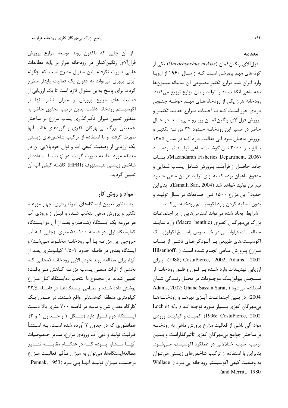مقدمه

قزل آلای رنگین کمان (Oncorhynchus mykiss) یکی از گونههای مهم پرورشی است کـه از سـال ۱۹۶۰ از اروپـا وارد ایران شد. مزارع تکثیر مصنوعی آن سالیانه میلیونها بچه ماهی انگشت قد را تولید و بین مزارع توزیع میکنند. رودخانه هراز یکی از رودخانههـای مهـم حوضـه جنـوبی دریای خزر است کـه بـا احـداث مـزارع جدیـد تکثیـر و پرورش قزلآلای رنگین کمـان روبـرو مـیباشـد. در حـال حاضر در مسیر این رودخانـه حـدود ۳۴ مزرعـه تکثیـر و پرورش ماهیان سرد آبی فعالیت دارد کـه در سـال ۱۳۸۵ بــالغ بــر ٣٠٠٠ تــن گوشــت مــاهي توليــد نمــوده انــد (Mazandaran Fisheries Department, 2006). يتساب جامد حاصـل از فرآینـد پـرورش شـامل پـساب غـذایی و مدفوع ماهيان بوده كه به ازاي توليد هر تن ماهي حـدود نيم تن توليد خواهد شد (Esmaili Sari, 2004). بنابراين حدودا" این مزارع ۱۵۰۰ تـن ضـایعات در سـال تولیـد و بدون تصفيه كردن وارد اكوسيستم رودخانه مي كنند.

شرایط ایجاد شده میتواند استرسهایی را بر اجتماعـات بزرگ بی مهرگــان كفــزی (Macro benthic) وارد نمایــد. مطالعـــات فراوانــــى در خـــصوص پاســـخ اكولوژيـــك اکوسیستمهای طبیعی بر آلـودگیهـای ناشـی از پـساب مزارع پرورش مـاهی انجـام شـده اسـت ( Hilsenhoff, .1988; CostaPierce, 2002; Adams, 2002). براي ارزیابی تهدیـدات وارد شـده بـر فـون و فلـور رودخانـه از ســنجش بيولوژيــک موجــودات در محــل زنــدگي شــان Adams, 2002; Ghane Sassan Sarai, ) استفاده می شود 2004). در بسین اجتماعـات آبـزی نهرهـا و رودخانــههـا Loch et al., ) بی مهر گان کفزی بسیار مورد توجـه انـد 1996; CostaPierce, 2002). كميت و كيفيت ورودي مواد آلی ناشی از فعالیت مزارع پرورش ماهی به رودخانـه بر ساختار جوامع بی،مهرگان کفزی تأثیرگذاراست و بـدین ترتیب ًسبب اختلالاتی در عملکرد اکوسیستم مـیشـود. بنابراین با استفاده از ترکیب شاخصهای زیستی میتوان به وضعیت کیفی اکوسیستم رودخانه یی برد ( Wallace .(and Merritt, 1980)

از آن جایی که تاکنون روند توسعه مزارع پرورش قزل آلای رنگین کمان در رودخانه هراز بر پایه مطالعات علمی صورت نگرفته، این سئوال مطرح است که چگونه آبزی پروری میتواند به عنوان یک فعالیت پایدار مطرح گردد. برای پاسخ بهاین سئوال لازم است تا یک ارزیابی از فعالیت های مزارع پرورش و میزان تأثیر آنها بر اكوسيستم رودخانه داشت. بدين ترتيب تحقيق حاضر به منظور تعیین میزان تأثیرگذاری پساب مزارع بر ساختار جمعیتی بزرگ بیمهرگان کفزی و گروههای غالب آنها صورت گرفته و با استفاده از ترکیب شاخصهای زیستی یک ارزیابی از وضعیت کیفی آب و توان خودپالایی آن در منطقه مورد مطالعه صورت گرفت. در نهایت با استفاده از شاخص زيستي هيلسنهوف (HFBI) كلاسه كيفي آب آن تعيين گرديد.

# مواد و روش کار

به منظور تعیین ایستگاههای نمونهبرداری، چهار مزرعـه تکثیر و پرورش ماهی انتخاب شـده و قبـل از ورودی آب هر مزرعه یک ایـستگاه (شـاهد) و بعـد از آن دو ایـستگاه کهایستگاه اول در فاصله ۱۰۰-۵۰ متری (جایی کـه آب خروجی این مزرعـه بـا آب رودخانـه مخلـوط مـیشـد) و ایستگاه بعدی در فاصله حدود ۲-۱/۵ کیلومتری یعـد از آنها، برای مطالعه روند خودیـالایی رودخانـه (محلـی کـه بخشی از اثرات منفـی پـساب مزرعـه کـاهش مـی یافـت) تعیین شدند. در مجموع با انتخاب دهایستگاه کـل مـزارع پوشش داده شده و تمامی ایستگاهها در فاصله ۲۲/۵ کیلومتری منطقه کوهستانی واقع شـدند. در ضـمن یـک کارگاه معدن شن و ماسه در فاصله ۷۰۰ متری بالا دست ایسستگاه دوم قسرار دارد (شکل ۱ و جسداول ۱ و ۲). همانطوری که در جدول ۲ آورده شده است، بـه اسـتثنأ ظرفیت تولید و دبی آب ورودی مزارع، سـایر خـصوصیات آنهـــا مـــشابه بـــوده كـــه در هنگـــام مقايـــسه نتـــايج مطالعه|یستگاهها، می توان به میزان تـأثیر فعالیـت مـزارع برحسب میزان تولیـد آنهـا یـی بـرد (Pennak, 1953);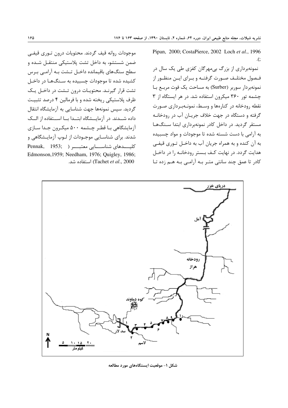موجودات روانه قيف گردند. محتويات درون تـورى قيفـي ضمن شستشو، به داخل تشت پلاستیکی منتقـل شـده و سطح سنگهای باقیمانده داخـل تـشت بـه آرامـی بـرس کشیده شده تا موجودات چسبیده به سـنگهـا در داخـل تشت قرار گیرنـد. محتویـات درون تـشت در داخـل یـک ظرف پلاستیکی ریخته شده و با فرمالین ۴ درصد تثبیت گردید. سیس نمونهها جهت شناسایی به آزمایشگاه انتقال داده شــدند. در آزمایــشگاه ابتــدا بــا اســتفاده از الــک آزمایشگاهی بـا قطـر چـشمه ۵۰۰ میکـرون جـدا سـازی شدند. برای شناسـایی موجـودات از لـوپ آزمایـشگاهی و كليــــدهاي شناســـــايي معتبــــر ( Pennak, 1953; Edmonson, 1959; Needham, 1976; Quigley, 1986; Tachet et al., 2000) استفاده شد.

Pipan, 2000; CostaPierce, 2002 Loch et al., 1996  $\cdot$ .

نمونهبرداری از بزرگ بی،مهرگان کفزی طی یک سال در فـصول مختلـف صـورت گرفتـه و بـراي ايـن منظـور از نمونهبردار سوربر (Surber) به مساحت یک فوت مربع با چشمه تور ۳۶۰ میکرون استفاده شد. در هر ایستگاه از ۳ نقطه رودخانه در کنارهها و وسط، نمونـهبـرداری صـورت گرفته و دستگاه در جهت خلاف جريـان آب در رودخانـه مستقر گردید. در داخل کادر نمونهبرداری ابتدا سـنگهـا به آرامی با دست شسته شده تا موجودات و مواد چسبیده به آن کنده و به همراه جریان آب به داخـل تـوری قیفـی هدایت گردد. در نهایت کـف بـستر رودخانـه را در داخـل کادر تا عمق چند سانتی متـر بـه آرامـی بـه هـم زده تـا



شکل ۱- موقعیت ایستگاههای مورد مطالعه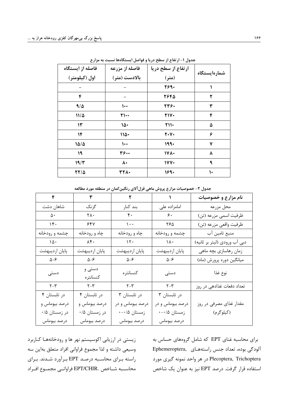| فاصله از ایستگاه | فاصله از مزرعه    | ارتفاع از سطح دریا          |              |
|------------------|-------------------|-----------------------------|--------------|
| اول (کیلومتر)    | بالادست (متر)     | (متر)                       | شمارهايستگاه |
|                  |                   | 2690                        |              |
| ۴                |                   | 2648                        | ۲            |
| 915              | $\mathsf{L}\cdot$ | 234.                        | ٣            |
| $11/\Delta$      | $\Upsilon$        | <b>TIV.</b>                 | ۴            |
| ۱۳               | 15.               | $\mathsf{Y}\mathsf{N}\cdot$ | ۵            |
| ۱۴               | $110 -$           | $Y \cdot Y \cdot$           | ۶            |
| $1\Delta/\Delta$ | $\mathbf{L}$      | 1990                        | ۷            |
| ۱۹               | 3600              | 171.                        | ٨            |
| 19/7             | ٨٠                | 1YY                         | ٩            |
| $YY/\Delta$      | <b>٣٢٨.</b>       | 1690                        | ١٠           |

جدول ۱- ارتفاع از سطح دریا و فواصل ایستگاهها نسبت به مزارع

|                                  |                      |                          | U 228 C 2 2          |                              |
|----------------------------------|----------------------|--------------------------|----------------------|------------------------------|
| $\mathbf{r}$                     | ٣                    | $\mathbf{r}$             | $\mathcal{L}$        | نام مزارع و خصوصیات          |
| شاهان دشت                        | گزنگ                 | بند کنار                 | امامزاده على         | محل مزرعه                    |
| $\Delta$ .                       | ٢٨٠                  | $\mathfrak{r}$ .         | $\epsilon$ .         | ظرفيت اسمي مزرعه (تن)        |
| 15.                              | ۶۴۷                  | $\backslash \cdot \cdot$ | ۲۶۵                  | ظرفيت واقعي مزرعه (تن)       |
| چشمه و رودخانه                   | چاه و رودخانه        | چاه و رودخانه            | چشمه و رودخانه       | منبع تامين آب                |
| $\lambda \Delta$                 | $\lambda$ ۴.         | $\mathcal{N}$            | $\lambda$            | دبی آب ورودی (لیتر بر ثانیه) |
| پایان اردیبهشت                   | پایان اردیبهشت       | پایان اردیبهشت           | پایان اردیبهشت       | زمان رهاسازي بچه ماهي        |
| $\Delta-\mathcal{F}$             | $\Delta-\mathcal{F}$ | $\Delta-\mathcal{F}$     | $\Delta-\mathcal{F}$ | میانگین دوره پرورش (ماه)     |
| دستى                             | دستی و<br>كنسانتره   | كنسانتره                 | دستی                 | نوع غذا                      |
| $\mathsf{Y}\mathsf{-}\mathsf{Y}$ | $Y - Y$              | $Y - Y$                  | $Y - Y$              | تعداد دفعات غذادهی در روز    |
| در تابستان ۴                     | در تابستان ۴         | در تابستان ٣             | در تابستان ٣         |                              |
| درصد بیوماس و                    | درصد بیوماس و        | درصد بیوماس و در         | درصد بیوماس و در     | مقدار غذای مصرفی در روز      |
| در زمستان ۰/۵                    | در زمستان ۰/۵        | زمستان ۰-۰/۵             | زمستان ۰-۰/۵         | (کیلوگرم)                    |
| درصد بيوماس                      | درصد بيوماس          | درصد بيوماس              | درصد بيوماس          |                              |

جدول ۲- خصوصیات مزارع پروش ماهی قزل آلای رنگین کمان در منطقه مورد مطالعه

زیستی در ارزیابی اکوسیستم نهر ها و رودخانههـا کـاربرد وسيعي داشته و لذا مجموع فراواني افراد متعلق بهاين سه راسته برای محاسـبه درصـد EPT بـرآورد شـدند. بـرای محاسـبه شــاخص .EPT/CHIR فراوانــي مجمــوع افــراد

برای محاسبه غنای EPT که شامل گروههای حساس به Ephemeroptera, راستههای Bphemeroptera, Plecoptera, Trichoptera در هر واحد نمونه گيري مورد استفاده قرار گرفت. درصد EPT نیز به عنوان یک شاخص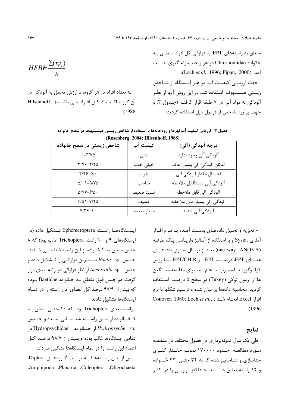متعلق به راستههای EPT به فراوانی کل افراد متعلـق بـه خانواده Chironomidae در هر واحد نمونه گیری بدست .(Loch et al., 1996; Pipan, 2000). حهت ا, زيابي كيفيت آب در هـر ايـستگاه از شـاخص زیستی هیلسنهوف استفاده شد. در این روش آبها از نظـر آلودگی به مواد آلی در ۷ طبقه قرار گرفتـه (جـدول ۳) و جهت برآورد شاخص از فرمول ذیل استفاده گردید:

$$
HFBE = \frac{\sum (x_it_i)}{n}
$$
تعداد افراد در هر گروه، 11 ارزش تحمل به آلودگی در  
Hilsenhoff, انتعداد کی افراد می باشندر

| <b>عدول ۳- ارزیابی کیفیت آب نهرها و رودخانهها با استفاده از شاخص زیستی هیلسنهوف در سطح خانواده</b> |  |
|----------------------------------------------------------------------------------------------------|--|
| (Rosenherg, 2004; Hilsenhoff, 1988)                                                                |  |

 $.1988$ 

| $(xosenvetg, zov-, niseinivu, 1700)$          |            |                              |  |  |  |
|-----------------------------------------------|------------|------------------------------|--|--|--|
| شاخص زیستی در سطح خانواده                     | كيفيت آب   | درجه آلودگی (آلی)            |  |  |  |
| $\cdot - \tau / v \Delta$                     | عالى       | آلودگی آلی وجود ندارد        |  |  |  |
| $Y/YS-F/Y\Delta$                              | خيلى خوب   | امکان آلودگی آلی بسیار اندک  |  |  |  |
| $f/\gamma - \Delta/$ .                        | خوب        | احتمال مقدار ألودگي ألي      |  |  |  |
| $\Delta/\bullet$ 1– $\Delta/\Upsilon\Delta$   | مناسب      | آلودگى آلى نسبتأقابل ملاحظه  |  |  |  |
| $\Delta/V$ $\mathcal{S}-\mathcal{S}/\Delta$ . | نسبتأ صعيف | آلودگی آلی قابل ملاحظه       |  |  |  |
| $9/01-V/9$                                    | ضعيف       | آلودگی آلی بسیار قابل ملاحظه |  |  |  |
| $Y/Y$ $9 - 1.$                                | بسيار ضعيف | آلودگی آلی شدید              |  |  |  |

ایسستگاهها راسته Ephemeroptera تـشكیل داده (در ایستگاههای ۹ و ۱۰ راسته Trichoptera غالب بود) که ۸ جنس متعلق به ۴ خانواده از این راسته شناسـایی شـدند.  $Baetis$  sp. بيــشترين فراوانــي را تــشكيل داده و بنس .Acentralla spبنس ) از نظر فراوانی در رتبه بعدی قرار گرفت. دو جنس فوق متعلق بـه خـانواده Baetidae بـوده که بیش از ۹۷/۹ درصد کل اعضای این راسته را در تمـام ایستگاهها تشکیل دادند.

راسته بعدی Trichoptera بوده که ١٠ جنس متعلق به ۹ خــانواده از ايـــن راســـته شناســـايي شــده و جـــنس .Hydropsychidae *خسانواده* Hydropsychidae د, تمامی ایستگاهها غالب بوده و بیش از ۹۸/۷ درصـد کـل اعضاء این راسته را در تمام ایستگاهها تشکیل میداد. یس از این راستهها به ترتیب گروههای Diptera، Amphipoda Planaria Coleoptera Oligochaeta - تجزیه و تحلیل دادههــای بدسـت آمــده بــا نــرم افــزار آماری Systat و با استفاده از آنـالیز واریـانس یـک طرفـه one way ANOVA) بعد از نرمال سازی دادهها ی غنساي EPT، درصـــد EPT/CHIR. و.EPT/CHIR بـــا روش كولموگروف- اسميرنوف انجام شد. براي مقايسه ميـانگين ها از آزمون توکی (Tukey) در سطح ۵ درصـد اسـتفاده گردید. محاسبه دادهها ی بیان شده و ترسیم شکلها با نرم Conover, 1980; Loch et al., ) انجام شد (Conover, 1980; Loch et al.,  $. (1996)$ 

## نتايج

طی یک سال نمونهبرداری در فصول مختلف در منطقـه مورد مطالعـه حـدود ۱۷۰۰۰۰ نمونـه جانـدار كفـزى جداسازی و شناسایی شده که به ۳۴ جنس، ۳۲ خـانواده و ۱۲ راسته تعلـق داشـتند. حـداكثر فراوانـي را در اكثـر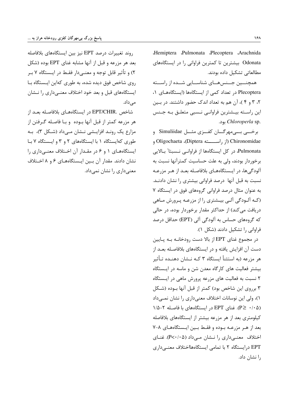Hemiptera Pulmonata Plecoptera Arachnida Odonata بیشترین تا کمترین فراوانی را در ایستگاههای مطالعاتی تشکیل داده بودند.

همچنسین جسنس هسای شناسسایی شسده از راسسته Plecoptera در تعداد کمی از ایستگاهها (ایستگاههای ۱، ۲، ۳ و ۴ )، آن هم به تعداد اندک حضور داشتند. در بين این راســته بیــشترین فراوانــی نــسبـی متعلــق بــه جــنس .chloroperla sp.

برخـــي بـــي،مهرگـــان كفـــزي مثـــل Simuliidae و Dijechaeta (از راســـــته Diptera)، Oligochaeta و Pulmonata، در کل ایستگاهها از فراوانبی نـسبتا" بـالایی برخوردار بودند، ولی به علت حساسیت کمترآنها نسبت به آلودگیها، در ایستگاههـای بلافاصـله بعـد از هـر مزرعـه نسبت به قبل آنها درصد فراوانی بیشتری را نشان دادنـد. به عنوان مثال درصد فراوانی گروههای فوق در ایستگاه ۷ (کـه آلـودگی آلـی بیـشتری را از مزرعـه پـرورش مـاهی دریافت می کند) از حداکثر مقدار برخوردار بوده، در حالی که گروههای حساس به آلودگی آلی (EPT) حداقل درصد فراوانی را تشکیل دادند (شکل ۱).

در مجموع غنای EPT از بالا دست رودخانـه بـه پـایین دست آن افزایش یافته و در ایستگاههای بلافاصـله بعـد از هر مزرعه (به استثنأ ایستگاه ۳ کـه نـشان دهنـده تـأثیر بیشتر فعالیت های کارگاه معدن شن و ماسه در ایستگاه ۲ نسبت به فعالیت های مزرعه پرورش ماهی در ایـستگاه ۳ برروی این شاخص بود) کمتر از قبل آنها بــوده (شـکل ١)، ولي اين نوسانات اختلاف معنىداري را نشان نمـىداد (P≥ ·/· ۵). غنای EPT در ایستگاههای با فاصله ۲-۱/۵ کیلومتری بعد از هر مزرعه بیشتر از ایستگاههای بلافاصله بعد از هر مزرعـه بـوده و فقـط بـين ايـستگاههـاي ٨-٧ اختلاف معنـیداری را نـشان مـیداد (۰۵٪۴-P). غنـای EPT درایستگاه ۲ با تمامی ایستگاههااختلاف معنے داری ,ا نشان داد.

روند تغییرات درصد EPT نیز بین ایستگاههای بلافاصله بعد هر مزرعه و قبل از آنها مشابه غنای EPT بوده (شکل ۲) و تأثیر قابل توجه و معنــی۱دار فقـط در ایــستگاه ۷ بـر روی شاخص فوق دیده شده، به طوری کهاین ایستگاه با ایستگاههای قبل و بعد خود اختلاف معنـیداری را نـشان مے ٖداد.

شاخص .EPT/CHIR در ایستگاههـای بلافاصـله بعـد از هر مزرعه کمتر از قبل آنها بـوده و بـا فاصـله گـرفتن از مزارع یک رونـد افزایـشی نـشان مـی۱داد (شـکل ۳)، بـه طوری کهایستگاه ۱ با ایستگاههای ۲ و ۳ و ایستگاه ۷ با ایستگاههای ۱ و ۶ در مقـدار آن اخـتلاف معنـی داری را نشان دادند. مقدار آن بین ایستگاههای ۶ و ۸ اختلاف معنی داری را نشان نمی داد.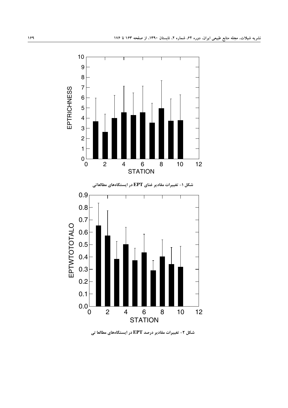

شکل ۲- تغییرات مقادیر درصد EPT در ایستگاههای مطالعا تی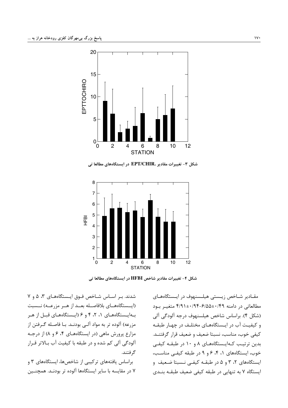

شکل ۳- تغییرات مقادیر .EPT/CHIR در ایستگاههای مطالعا تی



شکل ۴- تغییرات مقادیر شاخص HFBI در ایستگاههای مطالعا تی

شدند. بر اساس شاخص فوق ایستگاههای ۳، ۵ و ۷ (ایسستگاههای بلافاصله بعد از هـر مزرعـه) نـسبت بهایستگاههای ۰، ۲، ۴ و ۶ (ایستگاههای قبل از هر مزرعه) آلوده تر به مواد آلـی بودنـد. بـا فاصـله گـرفتن از مزارع پرورش ماهی (در ایستگاههای ۴، ۶ و ۸) از درجـه ۔<br>آلودگی آلی کم شدہ و در طبقه با کیفیت آب بـالاتر قـرار گر فتند.

براساس یافتههای ترکیبی از شاخصها، ایستگاههای ۳ و ۷ در مقایسه با سایر ایستگاهها آلوده تر بودنـد. همچنـین

مقـادیر شـاخص زیـستی هیلـسنهوف در ایـستگاههـای مطالعاتی در دامنه ۴/۹۱±۰/۹۴-۶/۵۵±۰/۹۴ متغییر بود (شکل ۴). براساس شاخص هیلسنهوف درجه آلودگی آلی و کیفیت آب در ایستگاههای مختلـف در چهـار طبقـه كيفي خوب، مناسب، نسبتا ضعيف و ضعيف قرار گرفتنـد. بدین ترتیب کـهایـستگاههـای ۸ و ۱۰ در طبقـه کیفـی خوب، ایستگاههای ۰، ۴، ۶ و ۹ در طبقه کیفے مناسب، ایستگاههای ۲، ۳ و ۵ در طبقـه کیفـی نـسبتا ضـعیف و ایستگاه ۷ به تنهایی در طبقه کیفی ضعیف طبقـه بنـدی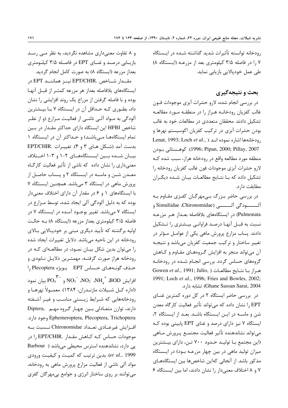رودخانه توانسته تأثيرات شديد گذاشته شـده در ايـستگاه ۷ را در فاصله ۳/۵ کیلومتری بعد از مزرعـه (ایـستگاه ۸) طی عمل خودیالایی بازیابی نماید.

# بحث و نتیجهگیری

در بررسی انجام شده، لارو حشرات آبزی موجودات فـون .<br>غالب کفزیان رودخانــه هــراز را در منطقــه مــورد مطالعــه تشکیل دادند. محققان متعددی در مطالعات خود به غالب بودن حشرات آبزی در ترکیب کفزیان اکوسیستم نهرها و Lenat, 1993; Loch et al., ) رودخانهها اشاره نموده انـد 1996; Pipan, 2000; Pillay, 2007). كوهـستانى بـودن منطقه مورد مطالعه واقع در رودخانه هراز، سبب شده کـه لارو حشرات آبزی موجودات فون غالب کفزیان رودخانه را تشکیل داده که بـا نتـایج مطالعـات بیـان شـده دیگـران مطابقت دارد.

در بررسی حاضر بـزرگ بـیمهرگـان کفـزی مقـاوم بـه آلـــــــــودگي آلـــــــــي (Simuliidae ،Chironomidae و Pulmonata) در ایستگاههای بلافاصله بعـداز هـر مزرعـه نسبت به قبـل آنهـا درصـد فراوانـي بيـشترى را تـشكيل دادند. پساب مزارع پرورش ماهی یکی از عوامـل مـؤثر در تغيير ساختار و تركيب جمعيت كفزيان مي باشد و نتيجـه آن می تواند منجر به افزایش گروههای مقـاوم و کـاهش گروههای حساس گردد. بررسی انجـام شـده در رودخانـه Gowen et al., 1991; Julio, ) هراز با نتايج مطالعات 1991; Loch et al., 1996; Fries and Bowles, 2002; Ghane Sassan Sarai, 2004) تشابه دارد.

در بررسی حاضر ایستگاه ۲ در کل دوره کمترین غنای EPT را نشان داده که میتواند تأثیر فعالیت کارگاه معدن شن و ماسـه در ايـن ايـستگاه باشـد. بعـد از ايـستگاه ٢، ایستگاه ۷ نیز دارای درصد و غنای EPT پایینی بوده کـه مي تواند نشاندهنده تأثير فعاليت مجتمـع پـرورش مـاهي (این مجتمع بـا تولیـد حـدود ۷۰۰ تـن، دارای بیـشترین میزان تولید ماهی در بین چهار مزرعـه بـود) در ایـستگاه مذکور باشد. از آنجائی کهاین شاخصها بین ایستگاههـای ۷ و ۸ اختلاف معنیدار را نشان دادند، اما بین ایـستگاه ۶

و ۸ تفاوت معنی داری مشاهده نگردید، به نظر مبی رسد بازیــابی درصـد و غنــای EPT در فاصـله ۳/۵ کیلــومتری بعداز مزرعه (ایستگاه ۸) به صورت کامل انجام گردید.

مقــدار شــاخص .EPT/CHIR نيــز هماننــد EPT در ایستگاههای بلافاصله بعداز هر مزرعه کمتـر از قبـل آنهـا بوده و با فاصله گرفتن از مزراع یک روند افزایشی را نشان داد، بطوری کـه حـداقل آن در ایـستگاه ۷ بـا بیـشترین آلودگی به مـواد آلـی ناشـی از فعالیـت مـزارع (و از نظـر شاخص HFBI این ایستگاه دارای حداکثر مقـدار در بـین تمام ایستگاهها میباشد) و حداکثر آن در ایستگاه ۱ بدست آمد (شکل هـای ۳ و ۴). تغییـرات .EPT/CHIR بیــان شــده بــین ایــستگاههــای ۲-۱ و ۳-۱ اخــتلاف معنیداری را نشان داده که ناشی از تأثیر فعالیت کارگاه معـدن شـن و ماسـه در ايـستگاه ۲ و پـساب حاصـل از پرورش ماهی در ایستگاه ۳ میباشد. همچنین ایستگاه ۷ با ایستگاههای ۱ و ۶ در مقدار آن دارای اختلاف معنیدار بوده که به دلیل آلودگی آلی ایجاد شده، توسط مـزارع در ایستگاه ۷ می باشد. تغییر بوجـود آمـده در ایـستگاه ۷ در فاصله ۳/۵ کیلومتری بعداز مزرعه (ایستگاه ۸) بـه حالـت اولیه برگشته که تأیید دیگری مبنی بر خودپـالایی بـالای رودخانه در این ناحیه میباشد. دلایل تغییرات ایجاد شده را میتوان بدین شکل بیـان نمـود، در مطالعـهای کـه در رودخانه هراز صورت گرفتـه، مهمتـرين دلايـل نـابودى و حذف گونـههـای حـساس EPT بویژه Plecoptera ,ا  $\overline{\text{PO}_4}^{\text{K}-}$ و  $\overline{\text{PO}_4}^{\text{K}-}$  و  $\overline{\text{PO}_4}^{\text{K}-}$  بيان نمود (اداره كــل شــيلات مازنــدران، ۱۳۸۴). معمــولاً نهرهــا و رودخانههایی که شـرایط زیـستی مناسـب و غیـر آشـفته دارند، توازن متعـادلی بـین چهـار گروه مهـم ,Diptera Ephemeroptera, Plecoptera, Trichoptera وجود دارد. افزایش غیرعـادی تعـداد Chironomidae نــسبت بــه موجودات حساس كـه كـاهش مقـدار .EPT/CHIR را در یی دارد، نشاندهنده استرس محیطی می باشد ( Barbour et al., 1999). بدین ترتیب که کمیت و کیفیت ورودی مواد آلی ناشی از فعالیت مزارع پرورش ماهی به رودخانه، مي توانند بر روي ساختار انرژي و جوامع بي مهر گان كفزي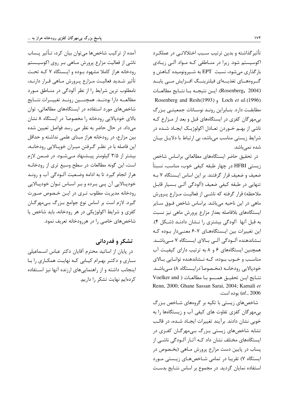آمده از ترکیب شاخصها می توان بیان کرد، تـأثیر پــساب ناشی از فعالیت مزارع پرورش مـاهی بـر روی اکوسیـستم رودخانه هراز كاملا مشهود ببوده و ایستگاه ۷ كـه تحـت تأثير شـديد فعاليـت مـزارع پـرورش مـاهي قـرار دارنـد، نامطلوب ترین شرایط را از نظر آلودگی در منـاطق مـورد مطالعــه دارا بودنــد. همچنــين رونــد تغييــرات نتــايج شاخصهای مورد استفاده در ایستگاههای مطالعاتی، توان بالای خودپالایی رودخانه را مخصوصا" در ایستگاه ۸ نشان میداد. در حال حاضر به نظر می رسد فواصل تعیین شده بین مزارع، در رودخانه هراز مبنای علمی نداشته و حداقل این فاصله با در نظـر گـرفتن میـزان خوپـالایی رودخانــه، بیشتر از ۳/۵ کیلومتر پیشنهاد مے شـود. در ضـمن لازم است، این گونه مطالعات در سطح وسیع تری از رودخانـه هراز انجام گیرد تا به ادامه وضعیت آلـودگی آب و رونـد خودپالایی آن پی برده و بر اساس توان خودپالایی رودخانه مدیریت مطلوب تـری در ایـن خـصوص صـورت گیرد. لازم است بر اساس نوع جوامع بـزرگ بـیمهرگـان كفزي و شرايط اكولوژيكي در هر رودخانه، بايد شاخص يا شاخصهای خاصی را در هررودخانه تعریف نمود.

# تشکر و قدردانی

در پایان از اساتید محترم آقایان دکتر عباس اسـماعیلی ساری و دکتـر بهـرام کیـابی کـه نهایـت همکـاری را بـا اینجانب داشته و از راهنمایی های ارزنده آنها نیز استفاده كردهايم نهايت تشكر را داريم.

تأثیر گذاشته و بدین ترتیب سـبب اختلالاتـی در عملکـرد اکوسیستم شود. زیرا در منـاطقی کـه مـواد آلـی زیـادی بار گذاری می شود، نسبت EPT به شـیرونومیده کـاهش و گـروههــاي تغذيـــهاي فيلترينـــگ افــزايش مـــي يابــد (Rosenberg, 2004). ایلن نتیجله با نتبایج مطالعیات Rosenberg and Resh(1993) , Loch et al.(1996) مطابقت دارد. بنـابراین رونـد نوسـانات جمعیتـی بـزرگ بی مهرگان کفزی در ایستگاههای قبل و بعد از مـزارع کـه ناشي از بهـم خـوردن تعـادل اكولوژيـك ايجـاد شـده در شرایط زیستی مناسب می باشد، بی ارتباط با دلایـل بیـان شدہ نمے باشد.

در تحقیق حاضر ایستگاههای مطالعاتی براساس شاخص زیستی HFBI در چهار طبقه کیفی خوب، مناسب، نسبتاً ضعیف و ضعیف قرار گرفتند. بر این اساس ایستگاه ۷ بـه تنهایی در طبقه کیفی ضعیف (آلودگی آلـی بـسیار قابـل ملاحظه) قرار گرفته که ناشبی از فعالیت مـزارع پـرورش ماهی در این ناحیه میباشد. براساس شاخص فـوق سـایر ایستگاههای بلافاصله بعداز مزارع پرورش ماهی نیز نسبت به قبل آنها آلودگی بیشتری را نـشان دادنـد (شـكل ۴). این تغییرات بین ایستگاههای ۷-۶ معنے دار بوده کـه نـشاندهنده آلـودگی آلـی بـالای ایـستگاه ۷ مـیباشـد. همچنین ایستگاههای ۶ و ۸ به ترتیب دارای کیفیت آب مناسـب و خــوب بــوده، كــه نــشاندهنده توانــايي بــالاي خودیالایی رودخانـه (مخـصوصا"درایـستگاه ۸) مـیباشـد. نتـايج ايـن تحقيـق همـسو بـا مطالعـات ( Voelker and Renn, 2000; Ghane Sassan Sarai, 2004; Kamali et al., 2006) بوده است.

شاخصهای زیستی با تکیه بر گروههای شـاخص بـزرگ بی مهرگان کفزی تفاوت های کیفی آب و زیستگاهها را به خوبی نشان دادند. برآیند تغییرات ایجـاد شـده، در قالـب تشابه شاخصهای زیستی بـزرگ بـی،مهرگـان کفـزی در ایستگاههای مختلف نشان داد کـه آثـار آلـودگی ناشـی از پساب در پایین دست مزارع پرورش مـاهی (بخـصوص در ایستگاه ۷) تقریبا در تمامی شـاخصهـای زیـستی مـورد استفاده نمایان گردید. در مجموع بر اساس نتـایج بدسـت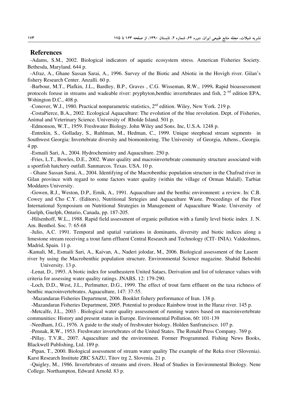#### **References**

-Adams, S.M., 2002. Biological indicators of aquatic ecosystem stress. American Fisheries Society. Bethesda, Maryland. 644 p.

-Afraz, A., Ghane Sassan Sarai, A., 1996. Survey of the Biotic and Abiotic in the Hovigh river. Gilan's fishery Research Center. Anzalli. 60 p.

-Barbour, M.T., Plafkin, J.L., Bardley, B.P., Graves, C.G. Wisseman, R.W., 1999. Rapid bioassessment protocols foruse in streams and wadeable river: pryphyton, benthic invertebrates and fish, 2<sup>nd</sup> edition EPA, Wshington D.C., 408 p.

-Conover, W.J., 1980. Practical nonparametric statistics,  $2^{nd}$  edition. Wiley, New York. 219 p.

-CostaPierce, B.A., 2002. Ecological Aquaculture: The evolution of the blue revolution. Dept. of Fisheries, Animal and Veterinary Science. University of Rholde Island. 501 p.

-Edmonson, W.T., 1959. Freshwater Biology. John Wiley and Sons. Inc, U.S.A. 1248 p.

-Entrekin, S., Golladay, S., Ruhlman, M., Hedman, C., 1999. Unique steephead stream segments in Southwest Georgia: Invertebrate diversity and biomonitoring. The University of Georgia, Athens., Georgia. 4 pp.

-Esmaili Sari, A., 2004. Hydrochemistry and Aquaculture. 250 p.

-Fries, L.T., Bowles, D.E., 2002. Water quality and macroinvertebrate community structure associated with a sportfish hatchery outfall. Sanmarcos. Texas. USA. 10 p.

- Ghane Sassan Sarai, A., 2004. Identifying of the Macrobenthic population structure in the Chafrud river in Gilan province with regard to some factors water quality (within the village of Orman Malall). Tarbiat Moddares University.

-Gowen, R.J., Weston, D.P., Ernik, A., 1991. Aquaculture and the benthic environment: a review. In: C.B. Cowey and Cho C.Y. (Editors), Nutritional Strtegies and Aquaculture Waste. Proceedings of the First International Symposium on Nutritional Strategies in Management of Aquaculture Waste. University of Guelph, Guelph, Ontario, Canada, pp. 187-205.

-Hilsenhoff, W.L., 1988. Rapid field assessment of organic pollution with a family level biotic index J.N. Am. Benthol. Soc. 7: 65-68

-Julio, A.C. 1991. Temporal and spatial variations in dominants, diversity and biotic indices along a limestone stream receiving a trout farm effluent Central Research and Technology (CIT-INIA). Valdeolmos, Madrid, Spain. 11 p.

-Kamali, M., Esmaili Sari, A., Kaivan, A., Naderi jolodar, M., 2006. Biological assessment of the Lasem

river by using the Macrobenthic population structure. Environmental Science magazine. Shahid Beheshti University. 13 p.

-Lenat, D., 1993. A biotic index for southeastern United Sataes, Derivation and list of tolerance values with criteria for assessing water quality ratings. JNABS. 12: 179-290.

-Loch, D.D., West, J.L., Perlmutter, D.G., 1999. The effect of trout farm effluent on the taxa richness of benthic macroinvertebrates. Aquaculture, 147: 37-55.

-Mazandaran Fisheries Department, 2006. Booklet fishery performance of Iran. 138 p.

-Mazandaran Fisheries Department, 2005. Potential to produce Rainbow trout in the Haraz river. 145 p.

-Metcalfe, J.L., 2003. Biological water quality assessment of running waters based on macroinvertebrate communities: History and present status in Europe. Environmental Pollution, 60: 101-139

-Needham, J.G., 1976. A guide to the study of freshwater biology. Holden Sanfrancisco. 107 p.

-Pennak, R.W., 1953. Freshwater invertebrates of the United States. The Ronald Press Company. 769 p.

-Pillay, T.V.R., 2007. Aquaculture and the environment. Former Programmed. Fishing News Books, Blackwell Publishing, Ltd. 189 p.

-Pipan, T., 2000. Biological assessment of stream water quality The example of the Reka river (Slovenia). Karst Research Institute ZRC SAZU, Titov trg 2, Slovenia. 21 p.

-Quigley, M., 1986. Invertebrates of streams and rivers. Head of Studies in Environmental Biology. Nene College. Northampton, Edward Arnold. 83 p.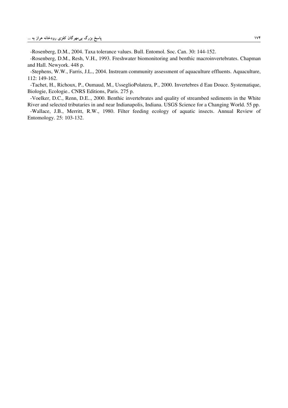-Rosenberg, D.M., 2004. Taxa tolerance values. Bull. Entomol. Soc. Can. 30: 144-152.

-Rosenberg, D.M., Resh, V.H., 1993. Freshwater biomonitoring and benthic macroinvertebrates. Chapman and Hall. Newyork. 448 p.

-Stephens, W.W., Farris, J.L., 2004. Instream community assessment of aquaculture effluents. Aquaculture, 112: 149-162.

-Tachet, H., Richoux, P., Oumaud, M., UsseglioPolatera, P., 2000. Invertebres d Eau Douce. Systematique, Biologie, Ecologie.. CNRS Editions, Paris. 275 p.

-Voelker, D.C., Renn, D.E.., 2000. Benthic invertebrates and quality of streambed sediments in the White River and selected tributaries in and near Indianapolis, Indiana. USGS Science for a Changing World. 55 pp.

-Wallace, J.B., Merritt, R.W., 1980. Filter feeding ecology of aquatic insects. Annual Review of Entomology. 25: 103-132.